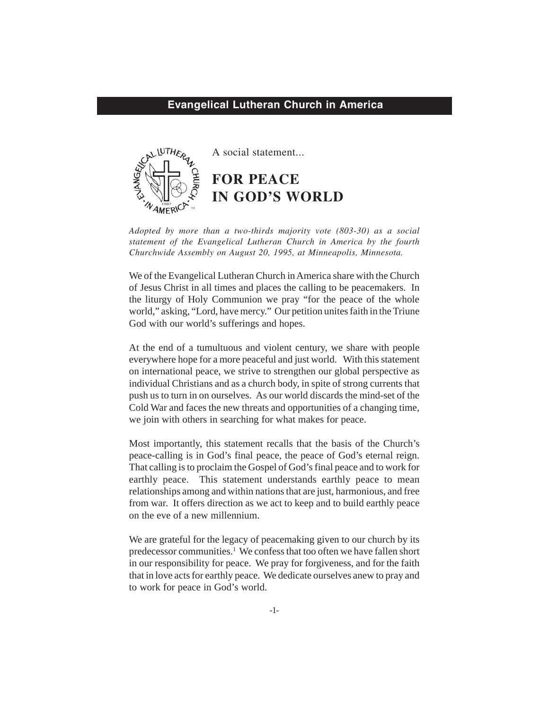## **Evangelical Lutheran Church in America**



A social statement...

**FOR PEACE IN GOD'S WORLD**

*Adopted by more than a two-thirds majority vote (803-30) as a social statement of the Evangelical Lutheran Church in America by the fourth Churchwide Assembly on August 20, 1995, at Minneapolis, Minnesota.*

We of the Evangelical Lutheran Church in America share with the Church of Jesus Christ in all times and places the calling to be peacemakers. In the liturgy of Holy Communion we pray "for the peace of the whole world," asking, "Lord, have mercy." Our petition unites faith in the Triune God with our world's sufferings and hopes.

At the end of a tumultuous and violent century, we share with people everywhere hope for a more peaceful and just world. With this statement on international peace, we strive to strengthen our global perspective as individual Christians and as a church body, in spite of strong currents that push us to turn in on ourselves. As our world discards the mind-set of the Cold War and faces the new threats and opportunities of a changing time, we join with others in searching for what makes for peace.

Most importantly, this statement recalls that the basis of the Church's peace-calling is in God's final peace, the peace of God's eternal reign. That calling is to proclaim the Gospel of God's final peace and to work for earthly peace. This statement understands earthly peace to mean relationships among and within nations that are just, harmonious, and free from war. It offers direction as we act to keep and to build earthly peace on the eve of a new millennium.

We are grateful for the legacy of peacemaking given to our church by its predecessor communities.<sup>1</sup> We confess that too often we have fallen short in our responsibility for peace. We pray for forgiveness, and for the faith that in love acts for earthly peace. We dedicate ourselves anew to pray and to work for peace in God's world.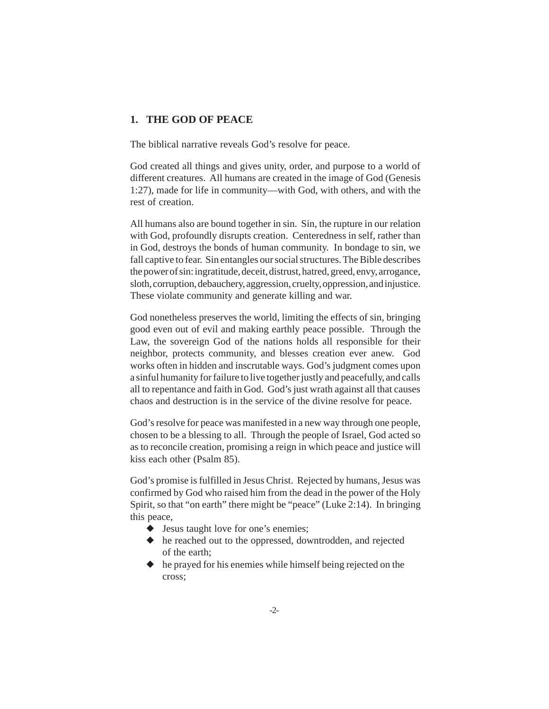# **1. THE GOD OF PEACE**

The biblical narrative reveals God's resolve for peace.

God created all things and gives unity, order, and purpose to a world of different creatures. All humans are created in the image of God (Genesis 1:27), made for life in community—with God, with others, and with the rest of creation.

All humans also are bound together in sin. Sin, the rupture in our relation with God, profoundly disrupts creation. Centeredness in self, rather than in God, destroys the bonds of human community. In bondage to sin, we fall captive to fear. Sin entangles our social structures. The Bible describes the power of sin: ingratitude, deceit, distrust, hatred, greed, envy, arrogance, sloth, corruption, debauchery, aggression, cruelty, oppression, and injustice. These violate community and generate killing and war.

God nonetheless preserves the world, limiting the effects of sin, bringing good even out of evil and making earthly peace possible. Through the Law, the sovereign God of the nations holds all responsible for their neighbor, protects community, and blesses creation ever anew. God works often in hidden and inscrutable ways. God's judgment comes upon a sinful humanity for failure to live together justly and peacefully, and calls all to repentance and faith in God. God's just wrath against all that causes chaos and destruction is in the service of the divine resolve for peace.

God's resolve for peace was manifested in a new way through one people, chosen to be a blessing to all. Through the people of Israel, God acted so as to reconcile creation, promising a reign in which peace and justice will kiss each other (Psalm 85).

God's promise is fulfilled in Jesus Christ. Rejected by humans, Jesus was confirmed by God who raised him from the dead in the power of the Holy Spirit, so that "on earth" there might be "peace" (Luke 2:14). In bringing this peace,

- ◆ Jesus taught love for one's enemies;
- ◆ he reached out to the oppressed, downtrodden, and rejected of the earth;
- ◆ he prayed for his enemies while himself being rejected on the cross;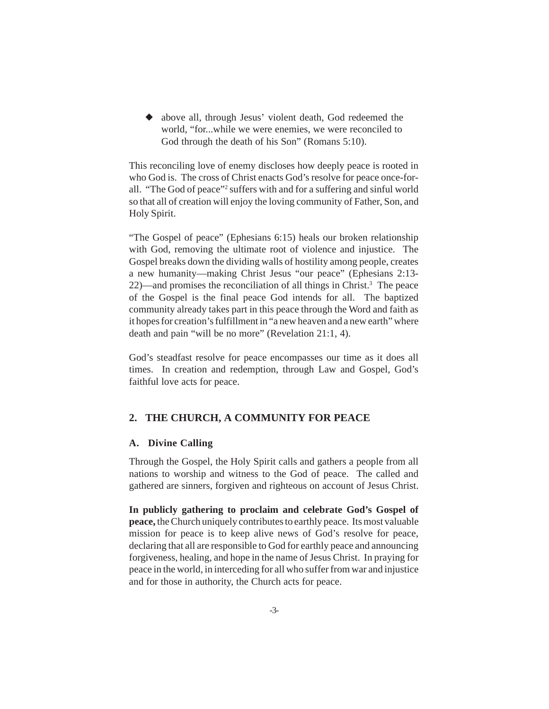◆ above all, through Jesus' violent death, God redeemed the world, "for...while we were enemies, we were reconciled to God through the death of his Son" (Romans 5:10).

This reconciling love of enemy discloses how deeply peace is rooted in who God is. The cross of Christ enacts God's resolve for peace once-forall. "The God of peace"<sup>2</sup> suffers with and for a suffering and sinful world so that all of creation will enjoy the loving community of Father, Son, and Holy Spirit.

"The Gospel of peace" (Ephesians 6:15) heals our broken relationship with God, removing the ultimate root of violence and injustice. The Gospel breaks down the dividing walls of hostility among people, creates a new humanity—making Christ Jesus "our peace" (Ephesians 2:13- 22)—and promises the reconciliation of all things in Christ.<sup>3</sup> The peace of the Gospel is the final peace God intends for all. The baptized community already takes part in this peace through the Word and faith as it hopes for creation's fulfillment in "a new heaven and a new earth" where death and pain "will be no more" (Revelation 21:1, 4).

God's steadfast resolve for peace encompasses our time as it does all times. In creation and redemption, through Law and Gospel, God's faithful love acts for peace.

## **2. THE CHURCH, A COMMUNITY FOR PEACE**

## **A. Divine Calling**

Through the Gospel, the Holy Spirit calls and gathers a people from all nations to worship and witness to the God of peace. The called and gathered are sinners, forgiven and righteous on account of Jesus Christ.

**In publicly gathering to proclaim and celebrate God's Gospel of peace,** the Church uniquely contributes to earthly peace. Its most valuable mission for peace is to keep alive news of God's resolve for peace, declaring that all are responsible to God for earthly peace and announcing forgiveness, healing, and hope in the name of Jesus Christ. In praying for peace in the world, in interceding for all who suffer from war and injustice and for those in authority, the Church acts for peace.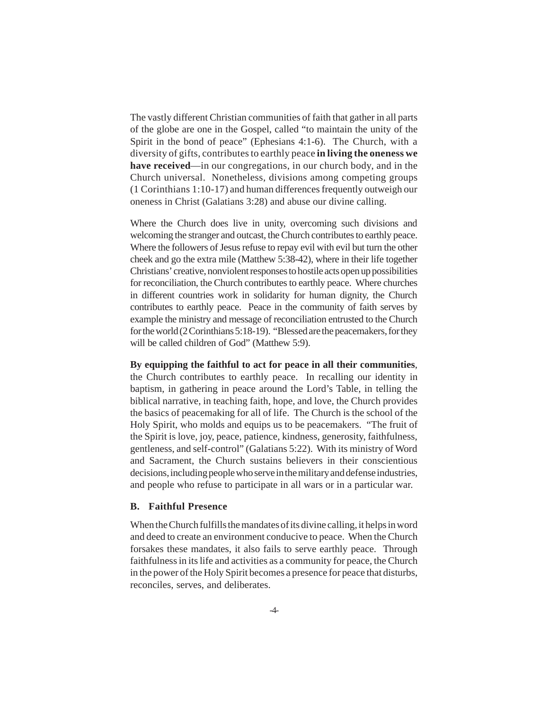The vastly different Christian communities of faith that gather in all parts of the globe are one in the Gospel, called "to maintain the unity of the Spirit in the bond of peace" (Ephesians 4:1-6). The Church, with a diversity of gifts, contributes to earthly peace **in living the oneness we have received**—in our congregations, in our church body, and in the Church universal. Nonetheless, divisions among competing groups (1 Corinthians 1:10-17) and human differences frequently outweigh our oneness in Christ (Galatians 3:28) and abuse our divine calling.

Where the Church does live in unity, overcoming such divisions and welcoming the stranger and outcast, the Church contributes to earthly peace. Where the followers of Jesus refuse to repay evil with evil but turn the other cheek and go the extra mile (Matthew 5:38-42), where in their life together Christians' creative, nonviolent responses to hostile acts open up possibilities for reconciliation, the Church contributes to earthly peace. Where churches in different countries work in solidarity for human dignity, the Church contributes to earthly peace. Peace in the community of faith serves by example the ministry and message of reconciliation entrusted to the Church for the world (2 Corinthians 5:18-19). "Blessed are the peacemakers, for they will be called children of God" (Matthew 5:9).

#### **By equipping the faithful to act for peace in all their communities**,

the Church contributes to earthly peace. In recalling our identity in baptism, in gathering in peace around the Lord's Table, in telling the biblical narrative, in teaching faith, hope, and love, the Church provides the basics of peacemaking for all of life. The Church is the school of the Holy Spirit, who molds and equips us to be peacemakers. "The fruit of the Spirit is love, joy, peace, patience, kindness, generosity, faithfulness, gentleness, and self-control" (Galatians 5:22). With its ministry of Word and Sacrament, the Church sustains believers in their conscientious decisions, including people who serve in the military and defense industries, and people who refuse to participate in all wars or in a particular war.

### **B. Faithful Presence**

When the Church fulfills the mandates of its divine calling, it helps in word and deed to create an environment conducive to peace. When the Church forsakes these mandates, it also fails to serve earthly peace. Through faithfulness in its life and activities as a community for peace, the Church in the power of the Holy Spirit becomes a presence for peace that disturbs, reconciles, serves, and deliberates.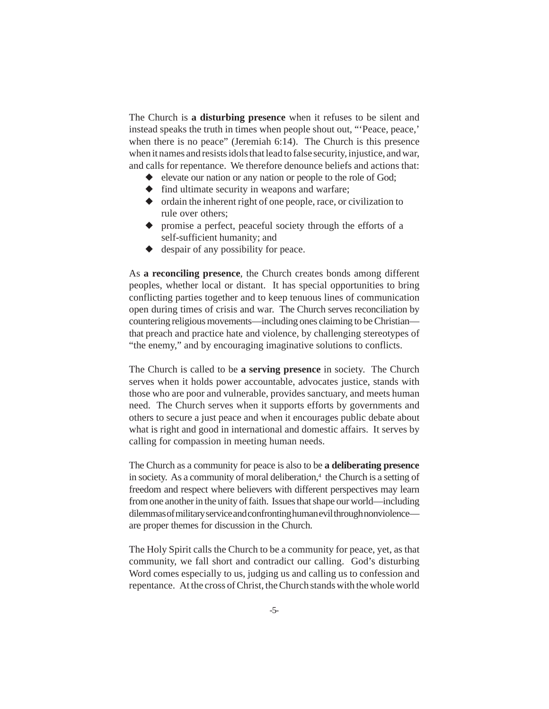The Church is **a disturbing presence** when it refuses to be silent and instead speaks the truth in times when people shout out, "'Peace, peace,' when there is no peace" (Jeremiah 6:14). The Church is this presence when it names and resists idols that lead to false security, injustice, and war, and calls for repentance. We therefore denounce beliefs and actions that:

- ◆ elevate our nation or any nation or people to the role of God;
- $\blacklozenge$  find ultimate security in weapons and warfare;
- ◆ ordain the inherent right of one people, race, or civilization to rule over others;
- ◆ promise a perfect, peaceful society through the efforts of a self-sufficient humanity; and
- ◆ despair of any possibility for peace.

As **a reconciling presence**, the Church creates bonds among different peoples, whether local or distant. It has special opportunities to bring conflicting parties together and to keep tenuous lines of communication open during times of crisis and war. The Church serves reconciliation by countering religious movements—including ones claiming to be Christian that preach and practice hate and violence, by challenging stereotypes of "the enemy," and by encouraging imaginative solutions to conflicts.

The Church is called to be **a serving presence** in society. The Church serves when it holds power accountable, advocates justice, stands with those who are poor and vulnerable, provides sanctuary, and meets human need. The Church serves when it supports efforts by governments and others to secure a just peace and when it encourages public debate about what is right and good in international and domestic affairs. It serves by calling for compassion in meeting human needs.

The Church as a community for peace is also to be **a deliberating presence** in society. As a community of moral deliberation,<sup>4</sup> the Church is a setting of freedom and respect where believers with different perspectives may learn from one another in the unity of faith. Issues that shape our world—including dilemmas of military service and confronting human evil through nonviolence are proper themes for discussion in the Church.

The Holy Spirit calls the Church to be a community for peace, yet, as that community, we fall short and contradict our calling. God's disturbing Word comes especially to us, judging us and calling us to confession and repentance. At the cross of Christ, the Church stands with the whole world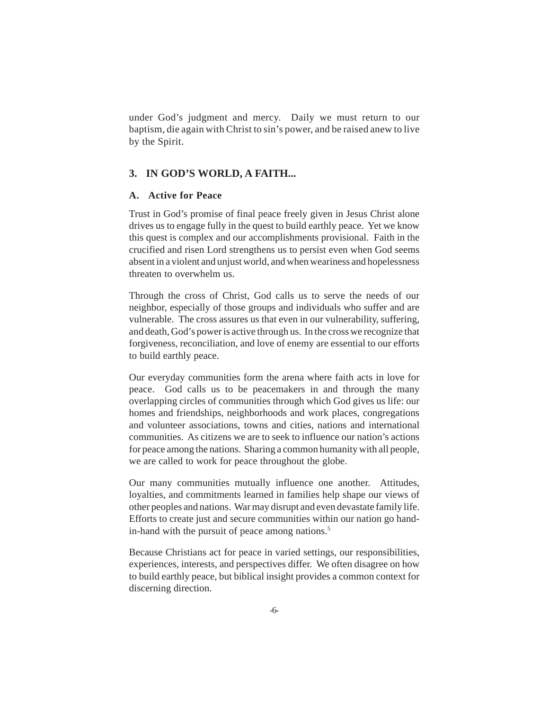under God's judgment and mercy. Daily we must return to our baptism, die again with Christ to sin's power, and be raised anew to live by the Spirit.

## **3. IN GOD'S WORLD, A FAITH...**

### **A. Active for Peace**

Trust in God's promise of final peace freely given in Jesus Christ alone drives us to engage fully in the quest to build earthly peace. Yet we know this quest is complex and our accomplishments provisional. Faith in the crucified and risen Lord strengthens us to persist even when God seems absent in a violent and unjust world, and when weariness and hopelessness threaten to overwhelm us.

Through the cross of Christ, God calls us to serve the needs of our neighbor, especially of those groups and individuals who suffer and are vulnerable. The cross assures us that even in our vulnerability, suffering, and death, God's power is active through us. In the cross we recognize that forgiveness, reconciliation, and love of enemy are essential to our efforts to build earthly peace.

Our everyday communities form the arena where faith acts in love for peace. God calls us to be peacemakers in and through the many overlapping circles of communities through which God gives us life: our homes and friendships, neighborhoods and work places, congregations and volunteer associations, towns and cities, nations and international communities. As citizens we are to seek to influence our nation's actions for peace among the nations. Sharing a common humanity with all people, we are called to work for peace throughout the globe.

Our many communities mutually influence one another. Attitudes, loyalties, and commitments learned in families help shape our views of other peoples and nations. War may disrupt and even devastate family life. Efforts to create just and secure communities within our nation go handin-hand with the pursuit of peace among nations.<sup>5</sup>

Because Christians act for peace in varied settings, our responsibilities, experiences, interests, and perspectives differ. We often disagree on how to build earthly peace, but biblical insight provides a common context for discerning direction.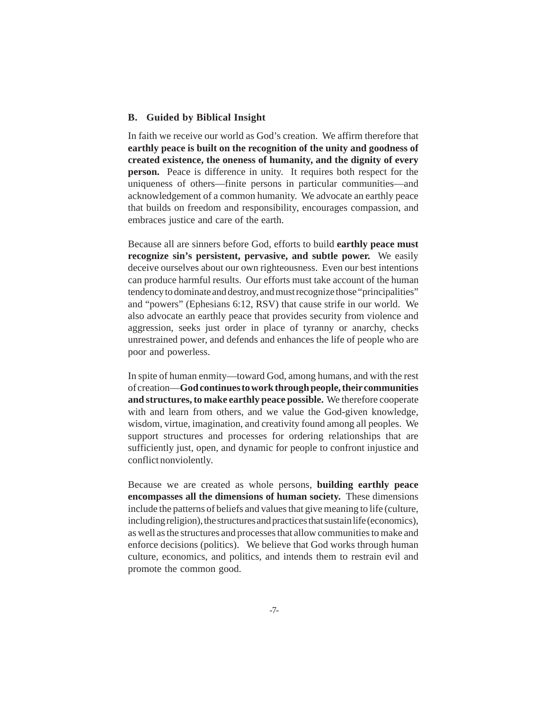### **B. Guided by Biblical Insight**

In faith we receive our world as God's creation. We affirm therefore that **earthly peace is built on the recognition of the unity and goodness of created existence, the oneness of humanity, and the dignity of every person.** Peace is difference in unity. It requires both respect for the uniqueness of others—finite persons in particular communities—and acknowledgement of a common humanity. We advocate an earthly peace that builds on freedom and responsibility, encourages compassion, and embraces justice and care of the earth.

Because all are sinners before God, efforts to build **earthly peace must recognize sin's persistent, pervasive, and subtle power.** We easily deceive ourselves about our own righteousness. Even our best intentions can produce harmful results. Our efforts must take account of the human tendency to dominate and destroy, and must recognize those "principalities" and "powers" (Ephesians 6:12, RSV) that cause strife in our world. We also advocate an earthly peace that provides security from violence and aggression, seeks just order in place of tyranny or anarchy, checks unrestrained power, and defends and enhances the life of people who are poor and powerless.

In spite of human enmity––toward God, among humans, and with the rest of creation—**God continues to work through people, their communities and structures, to make earthly peace possible.** We therefore cooperate with and learn from others, and we value the God-given knowledge, wisdom, virtue, imagination, and creativity found among all peoples. We support structures and processes for ordering relationships that are sufficiently just, open, and dynamic for people to confront injustice and conflict nonviolently.

Because we are created as whole persons, **building earthly peace encompasses all the dimensions of human society.** These dimensions include the patterns of beliefs and values that give meaning to life (culture, including religion), the structures and practices that sustain life (economics), as well as the structures and processes that allow communities to make and enforce decisions (politics). We believe that God works through human culture, economics, and politics, and intends them to restrain evil and promote the common good.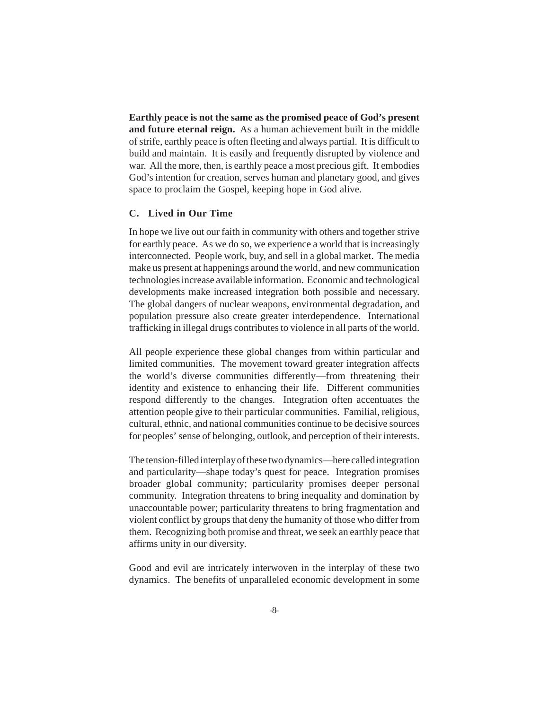**Earthly peace is not the same as the promised peace of God's present and future eternal reign.** As a human achievement built in the middle of strife, earthly peace is often fleeting and always partial. It is difficult to build and maintain. It is easily and frequently disrupted by violence and war. All the more, then, is earthly peace a most precious gift. It embodies God's intention for creation, serves human and planetary good, and gives space to proclaim the Gospel, keeping hope in God alive.

### **C. Lived in Our Time**

In hope we live out our faith in community with others and together strive for earthly peace. As we do so, we experience a world that is increasingly interconnected. People work, buy, and sell in a global market. The media make us present at happenings around the world, and new communication technologies increase available information. Economic and technological developments make increased integration both possible and necessary. The global dangers of nuclear weapons, environmental degradation, and population pressure also create greater interdependence. International trafficking in illegal drugs contributes to violence in all parts of the world.

All people experience these global changes from within particular and limited communities. The movement toward greater integration affects the world's diverse communities differently—from threatening their identity and existence to enhancing their life. Different communities respond differently to the changes. Integration often accentuates the attention people give to their particular communities. Familial, religious, cultural, ethnic, and national communities continue to be decisive sources for peoples' sense of belonging, outlook, and perception of their interests.

The tension-filled interplay of these two dynamics—here called integration and particularity—shape today's quest for peace. Integration promises broader global community; particularity promises deeper personal community. Integration threatens to bring inequality and domination by unaccountable power; particularity threatens to bring fragmentation and violent conflict by groups that deny the humanity of those who differ from them. Recognizing both promise and threat, we seek an earthly peace that affirms unity in our diversity.

Good and evil are intricately interwoven in the interplay of these two dynamics. The benefits of unparalleled economic development in some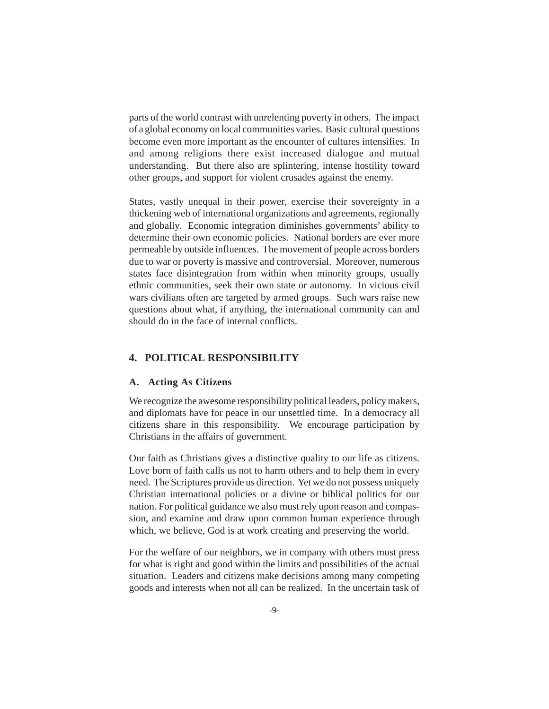parts of the world contrast with unrelenting poverty in others. The impact of a global economy on local communities varies. Basic cultural questions become even more important as the encounter of cultures intensifies. In and among religions there exist increased dialogue and mutual understanding. But there also are splintering, intense hostility toward other groups, and support for violent crusades against the enemy.

States, vastly unequal in their power, exercise their sovereignty in a thickening web of international organizations and agreements, regionally and globally. Economic integration diminishes governments' ability to determine their own economic policies. National borders are ever more permeable by outside influences. The movement of people across borders due to war or poverty is massive and controversial. Moreover, numerous states face disintegration from within when minority groups, usually ethnic communities, seek their own state or autonomy. In vicious civil wars civilians often are targeted by armed groups. Such wars raise new questions about what, if anything, the international community can and should do in the face of internal conflicts.

## **4. POLITICAL RESPONSIBILITY**

#### **A. Acting As Citizens**

We recognize the awesome responsibility political leaders, policy makers, and diplomats have for peace in our unsettled time. In a democracy all citizens share in this responsibility. We encourage participation by Christians in the affairs of government.

Our faith as Christians gives a distinctive quality to our life as citizens. Love born of faith calls us not to harm others and to help them in every need. The Scriptures provide us direction. Yet we do not possess uniquely Christian international policies or a divine or biblical politics for our nation. For political guidance we also must rely upon reason and compassion, and examine and draw upon common human experience through which, we believe, God is at work creating and preserving the world.

For the welfare of our neighbors, we in company with others must press for what is right and good within the limits and possibilities of the actual situation. Leaders and citizens make decisions among many competing goods and interests when not all can be realized. In the uncertain task of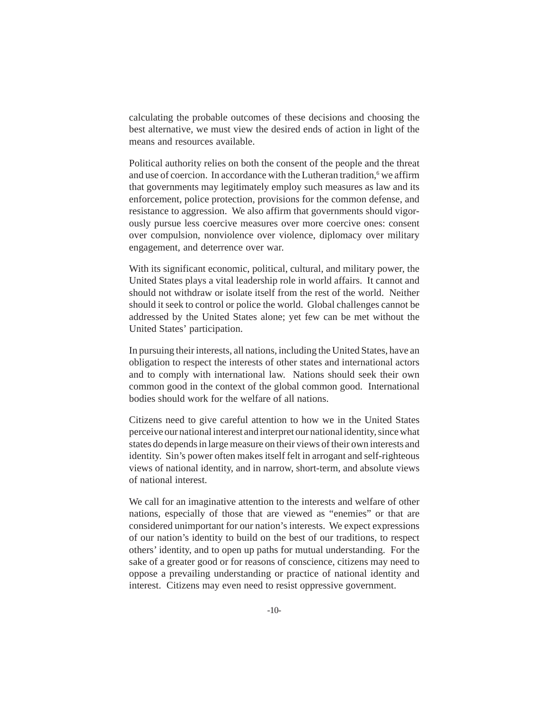calculating the probable outcomes of these decisions and choosing the best alternative, we must view the desired ends of action in light of the means and resources available.

Political authority relies on both the consent of the people and the threat and use of coercion. In accordance with the Lutheran tradition,<sup>6</sup> we affirm that governments may legitimately employ such measures as law and its enforcement, police protection, provisions for the common defense, and resistance to aggression. We also affirm that governments should vigorously pursue less coercive measures over more coercive ones: consent over compulsion, nonviolence over violence, diplomacy over military engagement, and deterrence over war.

With its significant economic, political, cultural, and military power, the United States plays a vital leadership role in world affairs. It cannot and should not withdraw or isolate itself from the rest of the world. Neither should it seek to control or police the world. Global challenges cannot be addressed by the United States alone; yet few can be met without the United States' participation.

In pursuing their interests, all nations, including the United States, have an obligation to respect the interests of other states and international actors and to comply with international law. Nations should seek their own common good in the context of the global common good. International bodies should work for the welfare of all nations.

Citizens need to give careful attention to how we in the United States perceive our national interest and interpret our national identity, since what states do depends in large measure on their views of their own interests and identity. Sin's power often makes itself felt in arrogant and self-righteous views of national identity, and in narrow, short-term, and absolute views of national interest.

We call for an imaginative attention to the interests and welfare of other nations, especially of those that are viewed as "enemies" or that are considered unimportant for our nation's interests. We expect expressions of our nation's identity to build on the best of our traditions, to respect others' identity, and to open up paths for mutual understanding. For the sake of a greater good or for reasons of conscience, citizens may need to oppose a prevailing understanding or practice of national identity and interest. Citizens may even need to resist oppressive government.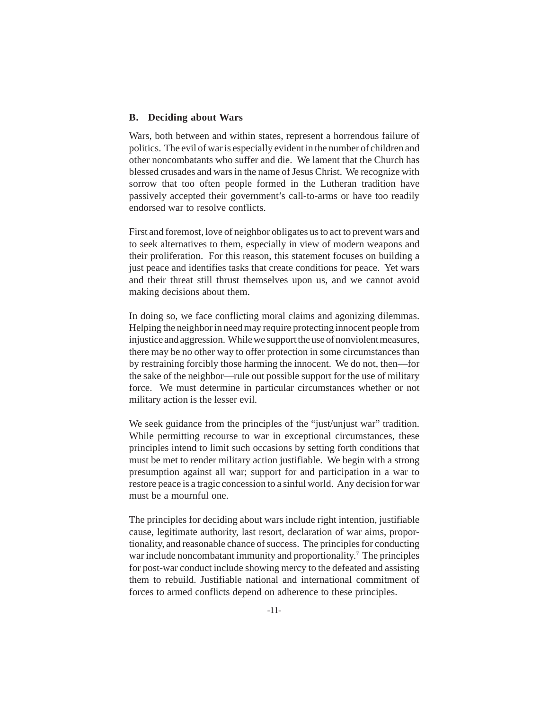### **B. Deciding about Wars**

Wars, both between and within states, represent a horrendous failure of politics. The evil of war is especially evident in the number of children and other noncombatants who suffer and die. We lament that the Church has blessed crusades and wars in the name of Jesus Christ. We recognize with sorrow that too often people formed in the Lutheran tradition have passively accepted their government's call-to-arms or have too readily endorsed war to resolve conflicts.

First and foremost, love of neighbor obligates us to act to prevent wars and to seek alternatives to them, especially in view of modern weapons and their proliferation. For this reason, this statement focuses on building a just peace and identifies tasks that create conditions for peace. Yet wars and their threat still thrust themselves upon us, and we cannot avoid making decisions about them.

In doing so, we face conflicting moral claims and agonizing dilemmas. Helping the neighbor in need may require protecting innocent people from injustice and aggression. While we support the use of nonviolent measures, there may be no other way to offer protection in some circumstances than by restraining forcibly those harming the innocent. We do not, then—for the sake of the neighbor—rule out possible support for the use of military force. We must determine in particular circumstances whether or not military action is the lesser evil.

We seek guidance from the principles of the "just/unjust war" tradition. While permitting recourse to war in exceptional circumstances, these principles intend to limit such occasions by setting forth conditions that must be met to render military action justifiable. We begin with a strong presumption against all war; support for and participation in a war to restore peace is a tragic concession to a sinful world. Any decision for war must be a mournful one.

The principles for deciding about wars include right intention, justifiable cause, legitimate authority, last resort, declaration of war aims, proportionality, and reasonable chance of success. The principles for conducting war include noncombatant immunity and proportionality.<sup>7</sup> The principles for post-war conduct include showing mercy to the defeated and assisting them to rebuild. Justifiable national and international commitment of forces to armed conflicts depend on adherence to these principles.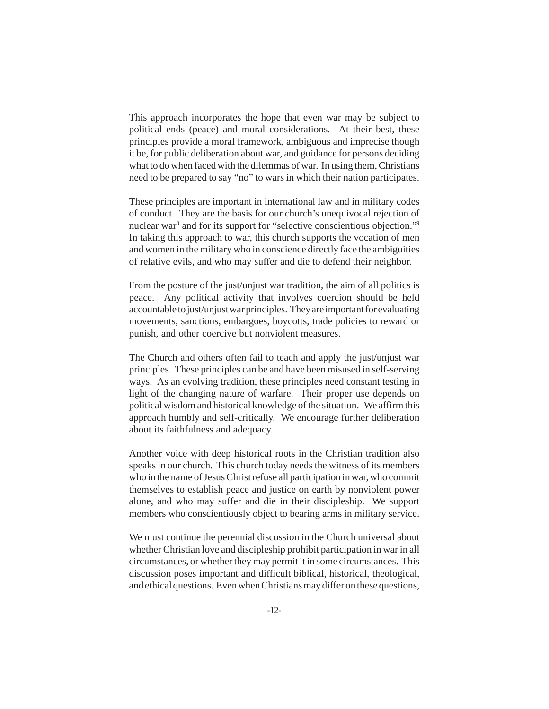This approach incorporates the hope that even war may be subject to political ends (peace) and moral considerations. At their best, these principles provide a moral framework, ambiguous and imprecise though it be, for public deliberation about war, and guidance for persons deciding what to do when faced with the dilemmas of war. In using them, Christians need to be prepared to say "no" to wars in which their nation participates.

These principles are important in international law and in military codes of conduct. They are the basis for our church's unequivocal rejection of nuclear war<sup>8</sup> and for its support for "selective conscientious objection."<sup>9</sup> In taking this approach to war, this church supports the vocation of men and women in the military who in conscience directly face the ambiguities of relative evils, and who may suffer and die to defend their neighbor.

From the posture of the just/unjust war tradition, the aim of all politics is peace. Any political activity that involves coercion should be held accountable to just/unjust war principles. They are important for evaluating movements, sanctions, embargoes, boycotts, trade policies to reward or punish, and other coercive but nonviolent measures.

The Church and others often fail to teach and apply the just/unjust war principles. These principles can be and have been misused in self-serving ways. As an evolving tradition, these principles need constant testing in light of the changing nature of warfare. Their proper use depends on political wisdom and historical knowledge of the situation. We affirm this approach humbly and self-critically. We encourage further deliberation about its faithfulness and adequacy.

Another voice with deep historical roots in the Christian tradition also speaks in our church. This church today needs the witness of its members who in the name of Jesus Christ refuse all participation in war, who commit themselves to establish peace and justice on earth by nonviolent power alone, and who may suffer and die in their discipleship. We support members who conscientiously object to bearing arms in military service.

We must continue the perennial discussion in the Church universal about whether Christian love and discipleship prohibit participation in war in all circumstances, or whether they may permit it in some circumstances. This discussion poses important and difficult biblical, historical, theological, and ethical questions. Even when Christians may differ on these questions,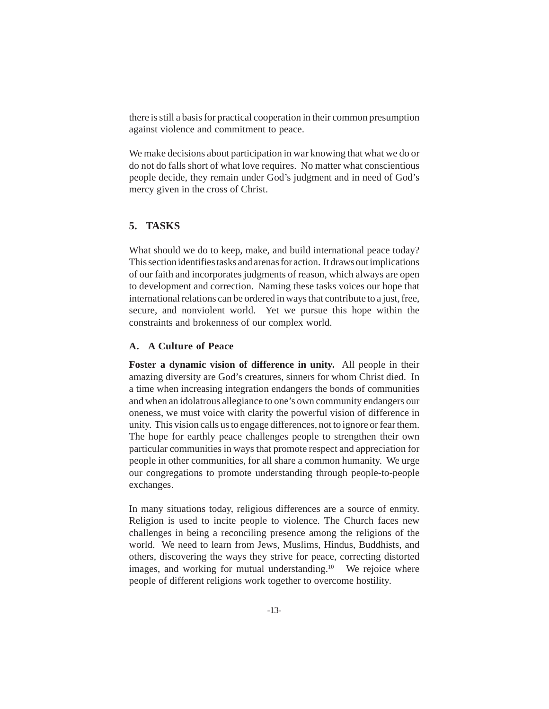there is still a basis for practical cooperation in their common presumption against violence and commitment to peace.

We make decisions about participation in war knowing that what we do or do not do falls short of what love requires. No matter what conscientious people decide, they remain under God's judgment and in need of God's mercy given in the cross of Christ.

# **5. TASKS**

What should we do to keep, make, and build international peace today? This section identifies tasks and arenas for action. It draws out implications of our faith and incorporates judgments of reason, which always are open to development and correction. Naming these tasks voices our hope that international relations can be ordered in ways that contribute to a just, free, secure, and nonviolent world. Yet we pursue this hope within the constraints and brokenness of our complex world.

## **A. A Culture of Peace**

**Foster a dynamic vision of difference in unity.** All people in their amazing diversity are God's creatures, sinners for whom Christ died. In a time when increasing integration endangers the bonds of communities and when an idolatrous allegiance to one's own community endangers our oneness, we must voice with clarity the powerful vision of difference in unity. This vision calls us to engage differences, not to ignore or fear them. The hope for earthly peace challenges people to strengthen their own particular communities in ways that promote respect and appreciation for people in other communities, for all share a common humanity. We urge our congregations to promote understanding through people-to-people exchanges.

In many situations today, religious differences are a source of enmity. Religion is used to incite people to violence. The Church faces new challenges in being a reconciling presence among the religions of the world. We need to learn from Jews, Muslims, Hindus, Buddhists, and others, discovering the ways they strive for peace, correcting distorted images, and working for mutual understanding.<sup>10</sup> We rejoice where people of different religions work together to overcome hostility.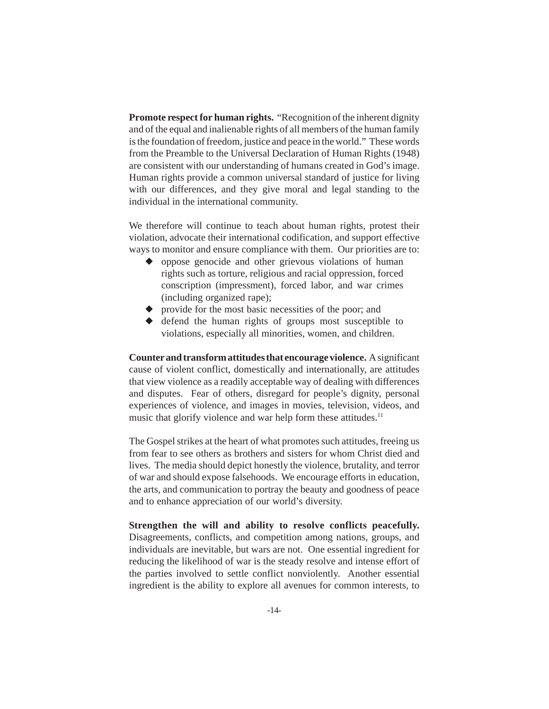**Promote respect for human rights.** "Recognition of the inherent dignity and of the equal and inalienable rights of all members of the human family is the foundation of freedom, justice and peace in the world." These words from the Preamble to the Universal Declaration of Human Rights (1948) are consistent with our understanding of humans created in God's image. Human rights provide a common universal standard of justice for living with our differences, and they give moral and legal standing to the individual in the international community.

We therefore will continue to teach about human rights, protest their violation, advocate their international codification, and support effective ways to monitor and ensure compliance with them. Our priorities are to:

- ◆ oppose genocide and other grievous violations of human rights such as torture, religious and racial oppression, forced conscription (impressment), forced labor, and war crimes (including organized rape);
- ◆ provide for the most basic necessities of the poor; and
- ◆ defend the human rights of groups most susceptible to violations, especially all minorities, women, and children.

**Counter and transform attitudes that encourage violence.** A significant cause of violent conflict, domestically and internationally, are attitudes that view violence as a readily acceptable way of dealing with differences and disputes. Fear of others, disregard for people's dignity, personal experiences of violence, and images in movies, television, videos, and music that glorify violence and war help form these attitudes.<sup>11</sup>

The Gospel strikes at the heart of what promotes such attitudes, freeing us from fear to see others as brothers and sisters for whom Christ died and lives. The media should depict honestly the violence, brutality, and terror of war and should expose falsehoods. We encourage efforts in education, the arts, and communication to portray the beauty and goodness of peace and to enhance appreciation of our world's diversity.

**Strengthen the will and ability to resolve conflicts peacefully.** Disagreements, conflicts, and competition among nations, groups, and individuals are inevitable, but wars are not. One essential ingredient for reducing the likelihood of war is the steady resolve and intense effort of the parties involved to settle conflict nonviolently. Another essential ingredient is the ability to explore all avenues for common interests, to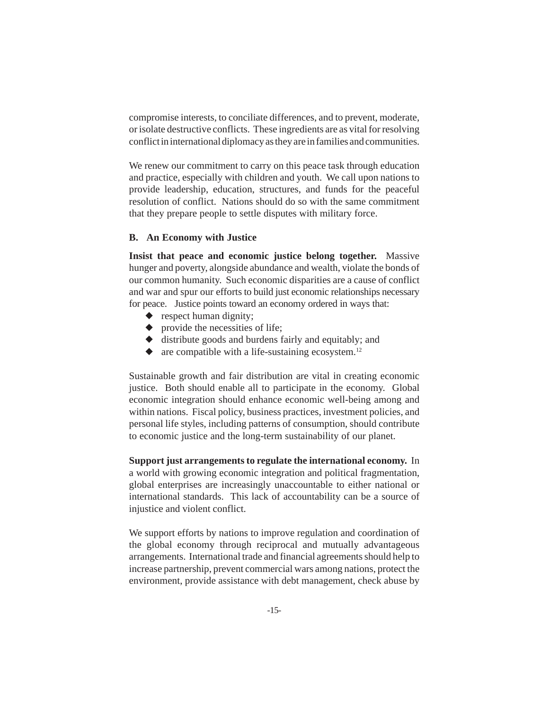compromise interests, to conciliate differences, and to prevent, moderate, or isolate destructive conflicts. These ingredients are as vital for resolving conflict in international diplomacy as they are in families and communities.

We renew our commitment to carry on this peace task through education and practice, especially with children and youth. We call upon nations to provide leadership, education, structures, and funds for the peaceful resolution of conflict. Nations should do so with the same commitment that they prepare people to settle disputes with military force.

### **B. An Economy with Justice**

**Insist that peace and economic justice belong together.** Massive hunger and poverty, alongside abundance and wealth, violate the bonds of our common humanity. Such economic disparities are a cause of conflict and war and spur our efforts to build just economic relationships necessary for peace. Justice points toward an economy ordered in ways that:

- $\bullet$  respect human dignity;
- ◆ provide the necessities of life;
- ◆ distribute goods and burdens fairly and equitably; and
- $\bullet$  are compatible with a life-sustaining ecosystem.<sup>12</sup>

Sustainable growth and fair distribution are vital in creating economic justice. Both should enable all to participate in the economy. Global economic integration should enhance economic well-being among and within nations. Fiscal policy, business practices, investment policies, and personal life styles, including patterns of consumption, should contribute to economic justice and the long-term sustainability of our planet.

**Support just arrangements to regulate the international economy.** In a world with growing economic integration and political fragmentation, global enterprises are increasingly unaccountable to either national or international standards. This lack of accountability can be a source of injustice and violent conflict.

We support efforts by nations to improve regulation and coordination of the global economy through reciprocal and mutually advantageous arrangements. International trade and financial agreements should help to increase partnership, prevent commercial wars among nations, protect the environment, provide assistance with debt management, check abuse by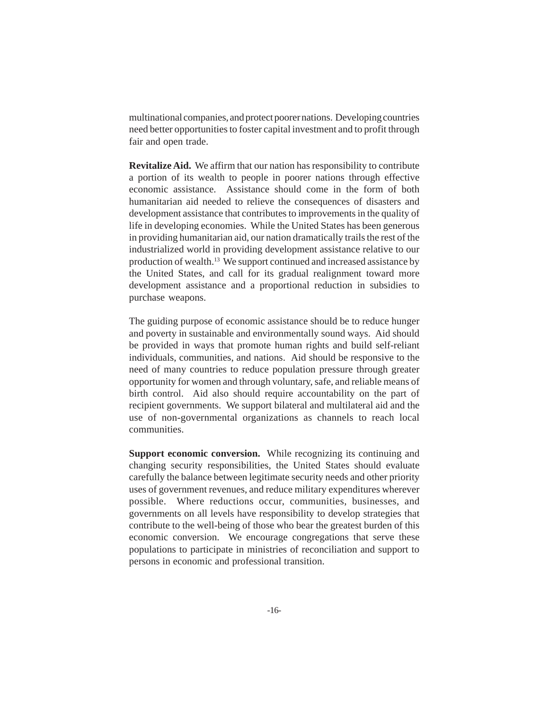multinational companies, and protect poorer nations. Developing countries need better opportunities to foster capital investment and to profit through fair and open trade.

**Revitalize Aid.** We affirm that our nation has responsibility to contribute a portion of its wealth to people in poorer nations through effective economic assistance. Assistance should come in the form of both humanitarian aid needed to relieve the consequences of disasters and development assistance that contributes to improvements in the quality of life in developing economies. While the United States has been generous in providing humanitarian aid, our nation dramatically trails the rest of the industrialized world in providing development assistance relative to our production of wealth.13 We support continued and increased assistance by the United States, and call for its gradual realignment toward more development assistance and a proportional reduction in subsidies to purchase weapons.

The guiding purpose of economic assistance should be to reduce hunger and poverty in sustainable and environmentally sound ways. Aid should be provided in ways that promote human rights and build self-reliant individuals, communities, and nations. Aid should be responsive to the need of many countries to reduce population pressure through greater opportunity for women and through voluntary, safe, and reliable means of birth control. Aid also should require accountability on the part of recipient governments. We support bilateral and multilateral aid and the use of non-governmental organizations as channels to reach local communities.

**Support economic conversion.** While recognizing its continuing and changing security responsibilities, the United States should evaluate carefully the balance between legitimate security needs and other priority uses of government revenues, and reduce military expenditures wherever possible. Where reductions occur, communities, businesses, and governments on all levels have responsibility to develop strategies that contribute to the well-being of those who bear the greatest burden of this economic conversion. We encourage congregations that serve these populations to participate in ministries of reconciliation and support to persons in economic and professional transition.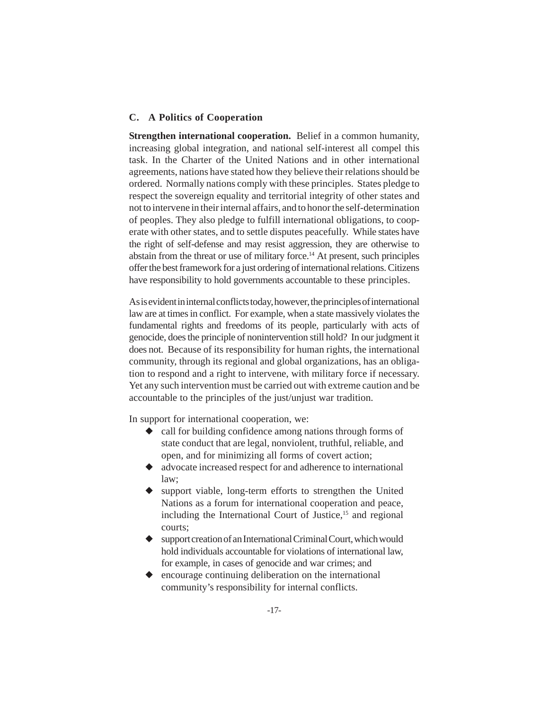## **C. A Politics of Cooperation**

**Strengthen international cooperation.** Belief in a common humanity, increasing global integration, and national self-interest all compel this task. In the Charter of the United Nations and in other international agreements, nations have stated how they believe their relations should be ordered. Normally nations comply with these principles. States pledge to respect the sovereign equality and territorial integrity of other states and not to intervene in their internal affairs, and to honor the self-determination of peoples. They also pledge to fulfill international obligations, to cooperate with other states, and to settle disputes peacefully. While states have the right of self-defense and may resist aggression, they are otherwise to abstain from the threat or use of military force.<sup>14</sup> At present, such principles offer the best framework for a just ordering of international relations. Citizens have responsibility to hold governments accountable to these principles.

As is evident in internal conflicts today, however, the principles of international law are at times in conflict. For example, when a state massively violates the fundamental rights and freedoms of its people, particularly with acts of genocide, does the principle of nonintervention still hold? In our judgment it does not. Because of its responsibility for human rights, the international community, through its regional and global organizations, has an obligation to respond and a right to intervene, with military force if necessary. Yet any such intervention must be carried out with extreme caution and be accountable to the principles of the just/unjust war tradition.

In support for international cooperation, we:

- ◆ call for building confidence among nations through forms of state conduct that are legal, nonviolent, truthful, reliable, and open, and for minimizing all forms of covert action;
- ◆ advocate increased respect for and adherence to international law;
- ◆ support viable, long-term efforts to strengthen the United Nations as a forum for international cooperation and peace, including the International Court of Justice,<sup>15</sup> and regional courts;
- ◆ support creation of an International Criminal Court, which would hold individuals accountable for violations of international law, for example, in cases of genocide and war crimes; and
- encourage continuing deliberation on the international community's responsibility for internal conflicts.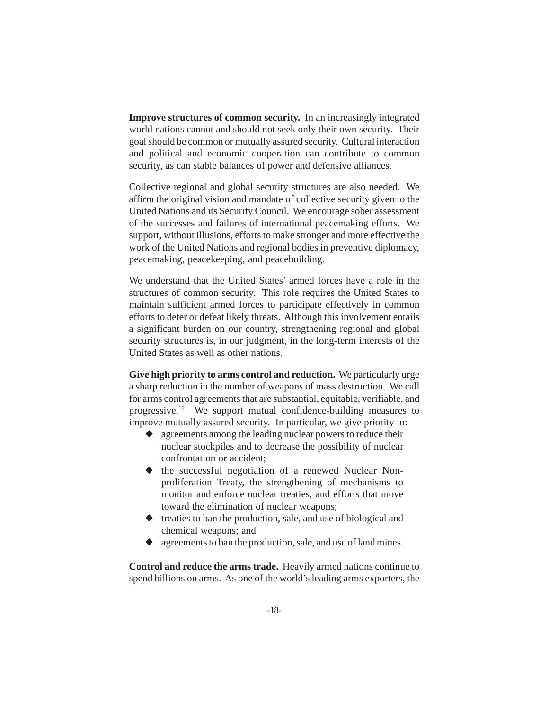**Improve structures of common security.** In an increasingly integrated world nations cannot and should not seek only their own security. Their goal should be common or mutually assured security. Cultural interaction and political and economic cooperation can contribute to common security, as can stable balances of power and defensive alliances.

Collective regional and global security structures are also needed. We affirm the original vision and mandate of collective security given to the United Nations and its Security Council. We encourage sober assessment of the successes and failures of international peacemaking efforts. We support, without illusions, efforts to make stronger and more effective the work of the United Nations and regional bodies in preventive diplomacy, peacemaking, peacekeeping, and peacebuilding.

We understand that the United States' armed forces have a role in the structures of common security. This role requires the United States to maintain sufficient armed forces to participate effectively in common efforts to deter or defeat likely threats. Although this involvement entails a significant burden on our country, strengthening regional and global security structures is, in our judgment, in the long-term interests of the United States as well as other nations.

**Give high priority to arms control and reduction.** We particularly urge a sharp reduction in the number of weapons of mass destruction. We call for arms control agreements that are substantial, equitable, verifiable, and progressive.16 We support mutual confidence-building measures to improve mutually assured security. In particular, we give priority to:

- ◆ agreements among the leading nuclear powers to reduce their nuclear stockpiles and to decrease the possibility of nuclear confrontation or accident;
- ◆ the successful negotiation of a renewed Nuclear Nonproliferation Treaty, the strengthening of mechanisms to monitor and enforce nuclear treaties, and efforts that move toward the elimination of nuclear weapons;
- ◆ treaties to ban the production, sale, and use of biological and chemical weapons; and
- ◆ agreements to ban the production, sale, and use of land mines.

**Control and reduce the arms trade.** Heavily armed nations continue to spend billions on arms. As one of the world's leading arms exporters, the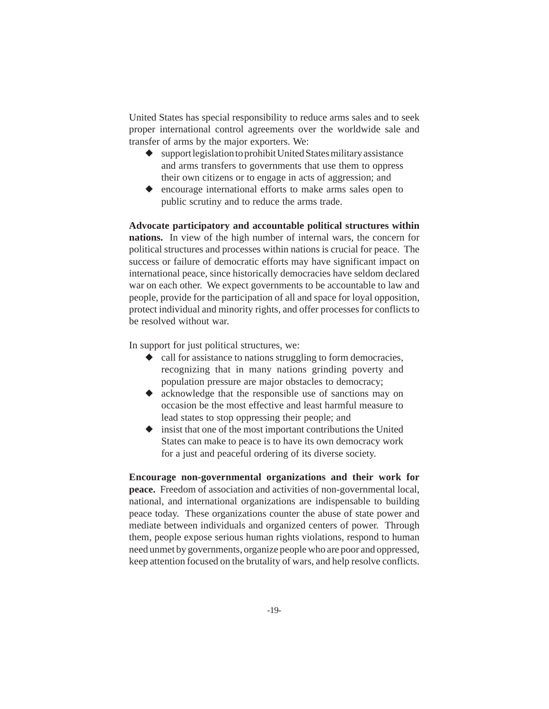United States has special responsibility to reduce arms sales and to seek proper international control agreements over the worldwide sale and transfer of arms by the major exporters. We:

- $\bullet$  support legislation to prohibit United States military assistance and arms transfers to governments that use them to oppress their own citizens or to engage in acts of aggression; and
- ◆ encourage international efforts to make arms sales open to public scrutiny and to reduce the arms trade.

**Advocate participatory and accountable political structures within nations.** In view of the high number of internal wars, the concern for political structures and processes within nations is crucial for peace. The success or failure of democratic efforts may have significant impact on international peace, since historically democracies have seldom declared war on each other. We expect governments to be accountable to law and people, provide for the participation of all and space for loyal opposition, protect individual and minority rights, and offer processes for conflicts to be resolved without war.

In support for just political structures, we:

- ◆ call for assistance to nations struggling to form democracies, recognizing that in many nations grinding poverty and population pressure are major obstacles to democracy;
- ◆ acknowledge that the responsible use of sanctions may on occasion be the most effective and least harmful measure to lead states to stop oppressing their people; and
- ◆ insist that one of the most important contributions the United States can make to peace is to have its own democracy work for a just and peaceful ordering of its diverse society.

**Encourage non-governmental organizations and their work for peace.** Freedom of association and activities of non-governmental local, national, and international organizations are indispensable to building peace today. These organizations counter the abuse of state power and mediate between individuals and organized centers of power. Through them, people expose serious human rights violations, respond to human need unmet by governments, organize people who are poor and oppressed, keep attention focused on the brutality of wars, and help resolve conflicts.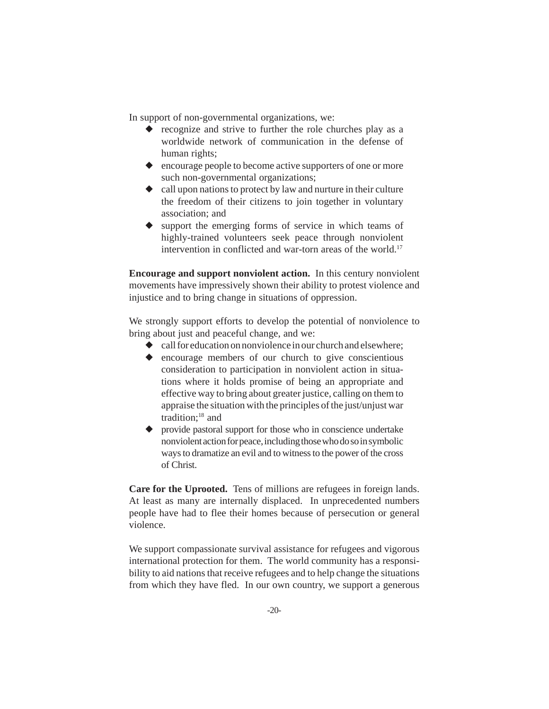In support of non-governmental organizations, we:

- ◆ recognize and strive to further the role churches play as a worldwide network of communication in the defense of human rights;
- ◆ encourage people to become active supporters of one or more such non-governmental organizations;
- ◆ call upon nations to protect by law and nurture in their culture the freedom of their citizens to join together in voluntary association; and
- ◆ support the emerging forms of service in which teams of highly-trained volunteers seek peace through nonviolent intervention in conflicted and war-torn areas of the world.<sup>17</sup>

**Encourage and support nonviolent action.** In this century nonviolent movements have impressively shown their ability to protest violence and injustice and to bring change in situations of oppression.

We strongly support efforts to develop the potential of nonviolence to bring about just and peaceful change, and we:

- $\bullet$  call for education on nonviolence in our church and elsewhere;
- ◆ encourage members of our church to give conscientious consideration to participation in nonviolent action in situations where it holds promise of being an appropriate and effective way to bring about greater justice, calling on them to appraise the situation with the principles of the just/unjust war tradition;<sup>18</sup> and
- ◆ provide pastoral support for those who in conscience undertake nonviolent action for peace, including those who do so in symbolic ways to dramatize an evil and to witness to the power of the cross of Christ.

**Care for the Uprooted.** Tens of millions are refugees in foreign lands. At least as many are internally displaced. In unprecedented numbers people have had to flee their homes because of persecution or general violence.

We support compassionate survival assistance for refugees and vigorous international protection for them. The world community has a responsibility to aid nations that receive refugees and to help change the situations from which they have fled. In our own country, we support a generous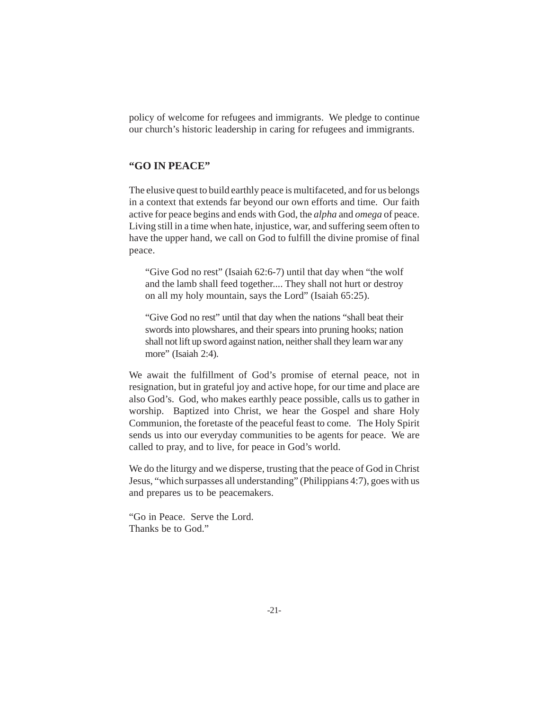policy of welcome for refugees and immigrants. We pledge to continue our church's historic leadership in caring for refugees and immigrants.

## **"GO IN PEACE"**

The elusive quest to build earthly peace is multifaceted, and for us belongs in a context that extends far beyond our own efforts and time. Our faith active for peace begins and ends with God, the *alpha* and *omega* of peace. Living still in a time when hate, injustice, war, and suffering seem often to have the upper hand, we call on God to fulfill the divine promise of final peace.

"Give God no rest" (Isaiah 62:6-7) until that day when "the wolf and the lamb shall feed together.... They shall not hurt or destroy on all my holy mountain, says the Lord" (Isaiah 65:25).

"Give God no rest" until that day when the nations "shall beat their swords into plowshares, and their spears into pruning hooks; nation shall not lift up sword against nation, neither shall they learn war any more" (Isaiah 2:4).

We await the fulfillment of God's promise of eternal peace, not in resignation, but in grateful joy and active hope, for our time and place are also God's. God, who makes earthly peace possible, calls us to gather in worship. Baptized into Christ, we hear the Gospel and share Holy Communion, the foretaste of the peaceful feast to come. The Holy Spirit sends us into our everyday communities to be agents for peace. We are called to pray, and to live, for peace in God's world.

We do the liturgy and we disperse, trusting that the peace of God in Christ Jesus, "which surpasses all understanding" (Philippians 4:7), goes with us and prepares us to be peacemakers.

"Go in Peace. Serve the Lord. Thanks be to God."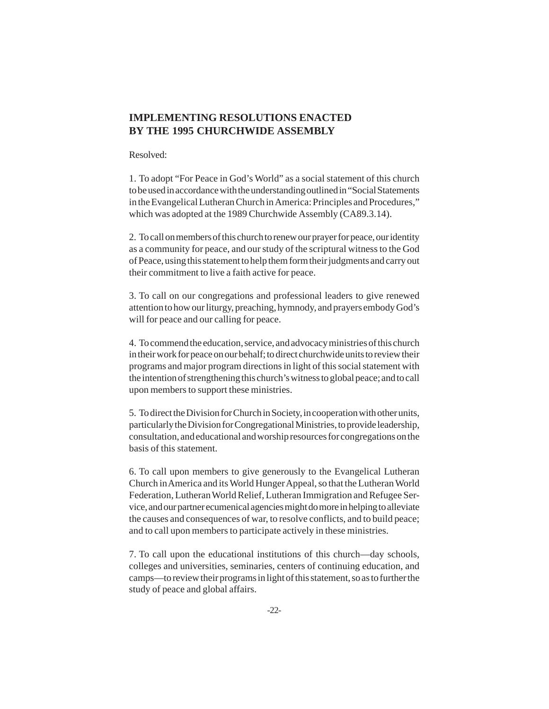# **IMPLEMENTING RESOLUTIONS ENACTED BY THE 1995 CHURCHWIDE ASSEMBLY**

#### Resolved:

1. To adopt "For Peace in God's World" as a social statement of this church to be used in accordance with the understanding outlined in "Social Statements in the Evangelical Lutheran Church in America: Principles and Procedures," which was adopted at the 1989 Churchwide Assembly (CA89.3.14).

2. To call on members of this church to renew our prayer for peace, our identity as a community for peace, and our study of the scriptural witness to the God of Peace, using this statement to help them form their judgments and carry out their commitment to live a faith active for peace.

3. To call on our congregations and professional leaders to give renewed attention to how our liturgy, preaching, hymnody, and prayers embody God's will for peace and our calling for peace.

4. To commend the education, service, and advocacy ministries of this church in their work for peace on our behalf; to direct churchwide units to review their programs and major program directions in light of this social statement with the intention of strengthening this church's witness to global peace; and to call upon members to support these ministries.

5. To direct the Division for Church in Society, in cooperation with other units, particularly the Division for Congregational Ministries, to provide leadership, consultation, and educational and worship resources for congregations on the basis of this statement.

6. To call upon members to give generously to the Evangelical Lutheran Church in America and its World Hunger Appeal, so that the Lutheran World Federation, Lutheran World Relief, Lutheran Immigration and Refugee Service, and our partner ecumenical agencies might do more in helping to alleviate the causes and consequences of war, to resolve conflicts, and to build peace; and to call upon members to participate actively in these ministries.

7. To call upon the educational institutions of this church—day schools, colleges and universities, seminaries, centers of continuing education, and camps—to review their programs in light of this statement, so as to further the study of peace and global affairs.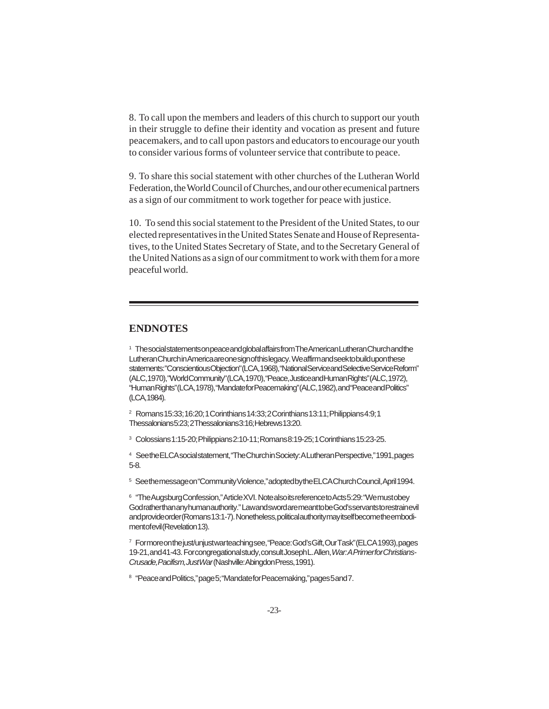8. To call upon the members and leaders of this church to support our youth in their struggle to define their identity and vocation as present and future peacemakers, and to call upon pastors and educators to encourage our youth to consider various forms of volunteer service that contribute to peace.

9. To share this social statement with other churches of the Lutheran World Federation, the World Council of Churches, and our other ecumenical partners as a sign of our commitment to work together for peace with justice.

10. To send this social statement to the President of the United States, to our elected representatives in the United States Senate and House of Representatives, to the United States Secretary of State, and to the Secretary General of the United Nations as a sign of our commitment to work with them for a more peaceful world.

## **ENDNOTES**

<sup>1</sup> The social statements on peace and global affairs from The American Lutheran Church and the Lutheran Church in America are one sign of this legacy. We affirm and seek to build upon these statements: "Conscientious Objection" (LCA, 1968), "National Service and Selective Service Reform" (ALC, 1970), "World Community" (LCA, 1970), "Peace, Justice and Human Rights" (ALC, 1972), "Human Rights" (LCA, 1978), "Mandate for Peacemaking" (ALC, 1982), and "Peace and Politics" (LCA, 1984).

2 Romans 15:33; 16:20; 1 Corinthians 14:33; 2 Corinthians 13:11; Philippians 4:9; 1 Thessalonians 5:23; 2 Thessalonians 3:16; Hebrews 13:20.

3 Colossians 1:15-20; Philippians 2:10-11; Romans 8:19-25; 1 Corinthians 15:23-25.

4 See the ELCA social statement, "The Church in Society: A Lutheran Perspective," 1991, pages 5-8.

<sup>5</sup> Seethemessageon "Community Violence," adopted by the ELCA Church Council, April 1994.

<sup>6</sup> "The Augsburg Confession," Article XVI. Note also its reference to Acts 5:29: "We must obey God rather than any human authority." Law and sword are meant to be God's servants to restrain evil and provide order (Romans 13:1-7). Nonetheless, political authority may itself become the embodiment of evil (Revelation 13).

<sup>7</sup> Formore on the just/unjust warteaching see, "Peace: God's Gift, Our Task" (ELCA 1993), pages 19-21, and 41-43. For congregational study, consult Joseph L. Allen, *War: A Primer for Christians-Crusade, Pacifism, Just War* (Nashville: Abingdon Press, 1991).

<sup>8</sup> "Peace and Politics," page 5; "Mandate for Peacemaking," pages 5 and 7.